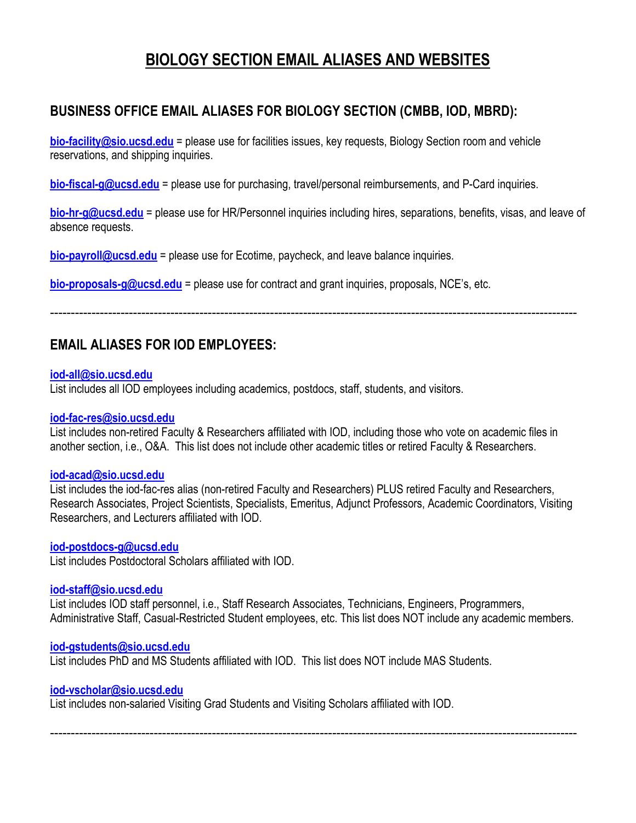# **BIOLOGY SECTION EMAIL ALIASES AND WEBSITES**

# **BUSINESS OFFICE EMAIL ALIASES FOR BIOLOGY SECTION (CMBB, IOD, MBRD):**

**bio-facility@sio.ucsd.edu** = please use for facilities issues, key requests, Biology Section room and vehicle reservations, and shipping inquiries.

**bio-fiscal-g@ucsd.edu** = please use for purchasing, travel/personal reimbursements, and P-Card inquiries.

**bio-hr-g@ucsd.edu** = please use for HR/Personnel inquiries including hires, separations, benefits, visas, and leave of absence requests.

**bio-payroll@ucsd.edu** = please use for Ecotime, paycheck, and leave balance inquiries.

**bio-proposals-g@ucsd.edu** = please use for contract and grant inquiries, proposals, NCE's, etc.

-------------------------------------------------------------------------------------------------------------------------------

## **EMAIL ALIASES FOR IOD EMPLOYEES:**

#### **iod-all@sio.ucsd.edu**

List includes all IOD employees including academics, postdocs, staff, students, and visitors.

#### **iod-fac-res@sio.ucsd.edu**

List includes non-retired Faculty & Researchers affiliated with IOD, including those who vote on academic files in another section, i.e., O&A. This list does not include other academic titles or retired Faculty & Researchers.

#### **iod-acad@sio.ucsd.edu**

List includes the iod-fac-res alias (non-retired Faculty and Researchers) PLUS retired Faculty and Researchers, Research Associates, Project Scientists, Specialists, Emeritus, Adjunct Professors, Academic Coordinators, Visiting Researchers, and Lecturers affiliated with IOD.

#### **iod-postdocs-g@ucsd.edu**

List includes Postdoctoral Scholars affiliated with IOD.

#### **iod-staff@sio.ucsd.edu**

List includes IOD staff personnel, i.e., Staff Research Associates, Technicians, Engineers, Programmers, Administrative Staff, Casual-Restricted Student employees, etc. This list does NOT include any academic members.

#### **iod-gstudents@sio.ucsd.edu**

List includes PhD and MS Students affiliated with IOD. This list does NOT include MAS Students.

#### **iod-vscholar@sio.ucsd.edu**

List includes non-salaried Visiting Grad Students and Visiting Scholars affiliated with IOD.

-------------------------------------------------------------------------------------------------------------------------------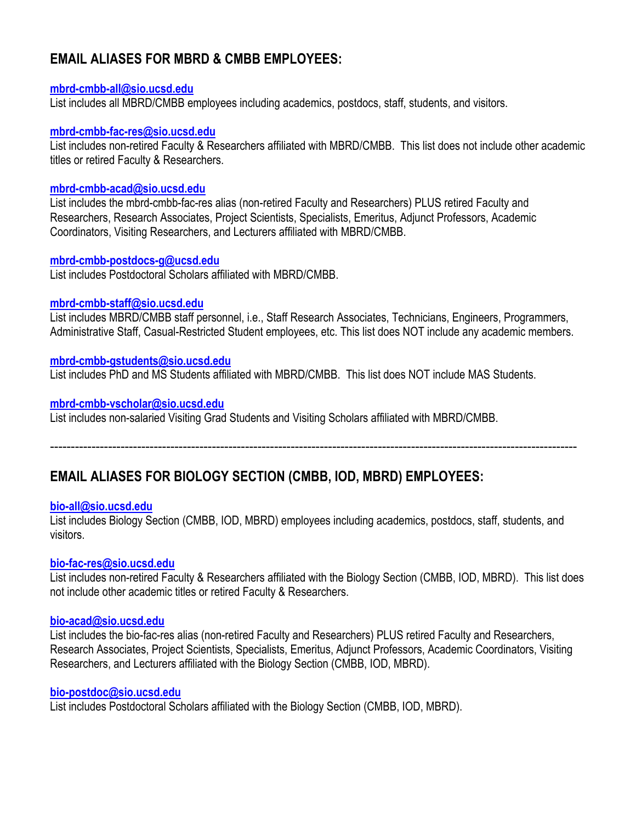# **EMAIL ALIASES FOR MBRD & CMBB EMPLOYEES:**

#### **mbrd-cmbb-all@sio.ucsd.edu**

List includes all MBRD/CMBB employees including academics, postdocs, staff, students, and visitors.

#### **mbrd-cmbb-fac-res@sio.ucsd.edu**

List includes non-retired Faculty & Researchers affiliated with MBRD/CMBB. This list does not include other academic titles or retired Faculty & Researchers.

#### **mbrd-cmbb-acad@sio.ucsd.edu**

List includes the mbrd-cmbb-fac-res alias (non-retired Faculty and Researchers) PLUS retired Faculty and Researchers, Research Associates, Project Scientists, Specialists, Emeritus, Adjunct Professors, Academic Coordinators, Visiting Researchers, and Lecturers affiliated with MBRD/CMBB.

#### **mbrd-cmbb-postdocs-g@ucsd.edu**

List includes Postdoctoral Scholars affiliated with MBRD/CMBB.

#### **mbrd-cmbb-staff@sio.ucsd.edu**

List includes MBRD/CMBB staff personnel, i.e., Staff Research Associates, Technicians, Engineers, Programmers, Administrative Staff, Casual-Restricted Student employees, etc. This list does NOT include any academic members.

#### **mbrd-cmbb-gstudents@sio.ucsd.edu**

List includes PhD and MS Students affiliated with MBRD/CMBB. This list does NOT include MAS Students.

#### **mbrd-cmbb-vscholar@sio.ucsd.edu**

List includes non-salaried Visiting Grad Students and Visiting Scholars affiliated with MBRD/CMBB.

-------------------------------------------------------------------------------------------------------------------------------

## **EMAIL ALIASES FOR BIOLOGY SECTION (CMBB, IOD, MBRD) EMPLOYEES:**

#### **bio-all@sio.ucsd.edu**

List includes Biology Section (CMBB, IOD, MBRD) employees including academics, postdocs, staff, students, and visitors.

#### **bio-fac-res@sio.ucsd.edu**

List includes non-retired Faculty & Researchers affiliated with the Biology Section (CMBB, IOD, MBRD). This list does not include other academic titles or retired Faculty & Researchers.

#### **bio-acad@sio.ucsd.edu**

List includes the bio-fac-res alias (non-retired Faculty and Researchers) PLUS retired Faculty and Researchers, Research Associates, Project Scientists, Specialists, Emeritus, Adjunct Professors, Academic Coordinators, Visiting Researchers, and Lecturers affiliated with the Biology Section (CMBB, IOD, MBRD).

#### **bio-postdoc@sio.ucsd.edu**

List includes Postdoctoral Scholars affiliated with the Biology Section (CMBB, IOD, MBRD).